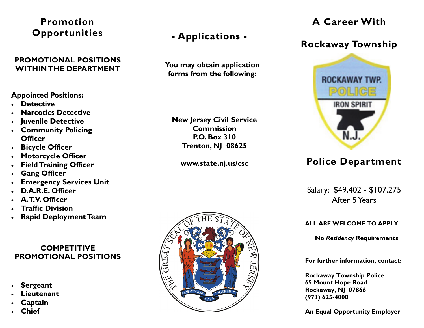### **Promotion Opportunities**

#### **PROMOTIONAL POSITIONS WITHIN THE DEPARTMENT**

#### **Appointed Positions:**

- **Detective**
- $\bullet$ **Narcotics Detective**
- $\bullet$ **Juvenile Detective**
- $\bullet$  **Community Policing Officer**
- $\bullet$ **Bicycle Officer**
- $\bullet$ **Motorcycle Officer**
- $\bullet$ **Field Training Officer**
- $\bullet$ **Gang Officer**
- $\bullet$ **Emergency Services Unit**
- $\bullet$ **D.A.R.E. Officer**
- $\bullet$ **A.T.V. Officer**
- $\bullet$ **Traffic Division**
- $\bullet$ **Rapid Deployment Team**

#### **COMPETITIVE PROMOTIONAL POSITIONS**

- $\bullet$ **Sergeant**
- $\bullet$ **Lieutenant**
- $\bullet$ **Captain**
- $\bullet$ **Chief**

# **- Applications -**

**You may obtain application forms from the following:** 

**New Jersey Civil Service Commission P.O. Box 310 Trenton, NJ 08625** 

**www.state.nj.us/csc** 



## **A Career With**

## **Rockaway Township**



## **Police Department**

Salary: \$49,402 - \$107,275 After 5 Years

**ALL ARE WELCOME TO APPLY** 

**No** *Residency* **Requirements** 

**For further information, contact:** 

**Rockaway Township Police 65 Mount Hope Road Rockaway, NJ 07866 (973) 625-4000** 

**An Equal Opportunity Employer**